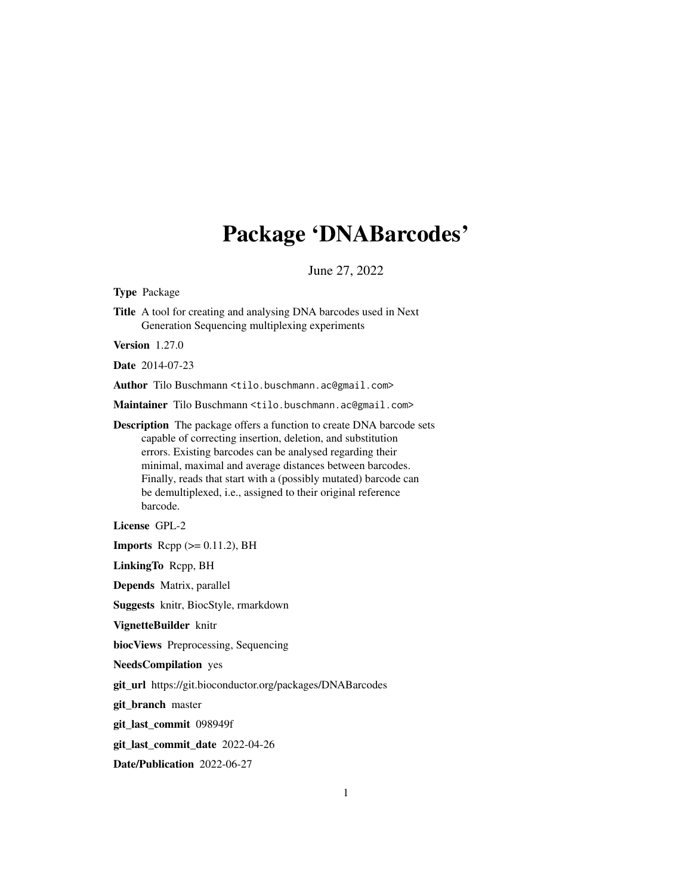## Package 'DNABarcodes'

June 27, 2022

Type Package

Title A tool for creating and analysing DNA barcodes used in Next Generation Sequencing multiplexing experiments

Version 1.27.0

Date 2014-07-23

Author Tilo Buschmann <tilo.buschmann.ac@gmail.com>

Maintainer Tilo Buschmann <tilo.buschmann.ac@gmail.com>

Description The package offers a function to create DNA barcode sets capable of correcting insertion, deletion, and substitution errors. Existing barcodes can be analysed regarding their minimal, maximal and average distances between barcodes. Finally, reads that start with a (possibly mutated) barcode can be demultiplexed, i.e., assigned to their original reference barcode.

License GPL-2

**Imports** Rcpp  $(>= 0.11.2)$ , BH

LinkingTo Rcpp, BH

Depends Matrix, parallel

Suggests knitr, BiocStyle, rmarkdown

VignetteBuilder knitr

biocViews Preprocessing, Sequencing

NeedsCompilation yes

git\_url https://git.bioconductor.org/packages/DNABarcodes

git\_branch master

git\_last\_commit 098949f

git\_last\_commit\_date 2022-04-26

Date/Publication 2022-06-27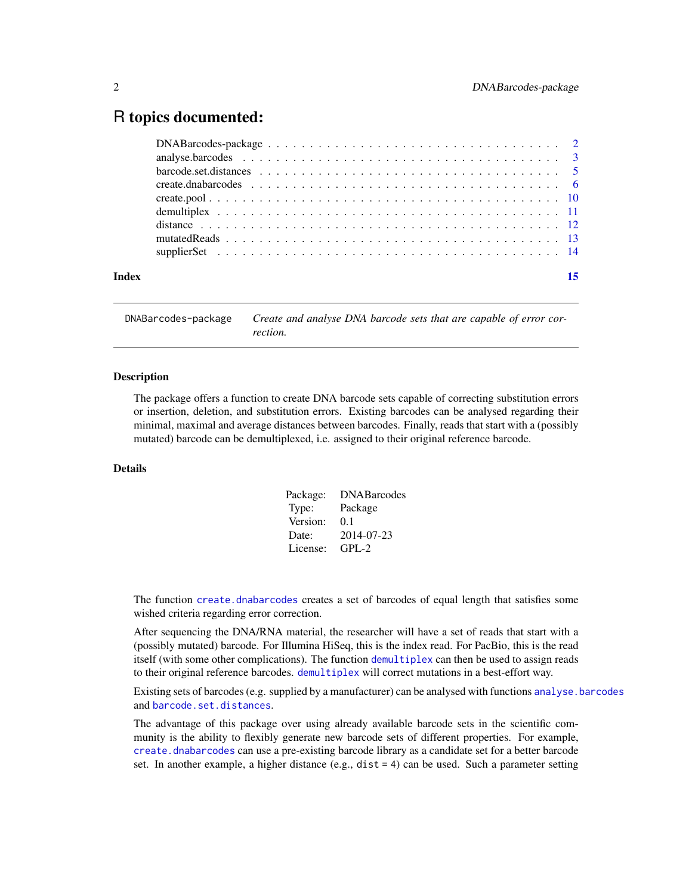### <span id="page-1-0"></span>R topics documented:

| Index |  |
|-------|--|

DNABarcodes-package *Create and analyse DNA barcode sets that are capable of error correction.*

#### Description

The package offers a function to create DNA barcode sets capable of correcting substitution errors or insertion, deletion, and substitution errors. Existing barcodes can be analysed regarding their minimal, maximal and average distances between barcodes. Finally, reads that start with a (possibly mutated) barcode can be demultiplexed, i.e. assigned to their original reference barcode.

#### Details

| Package: | <b>DNABarcodes</b> |
|----------|--------------------|
| Type:    | Package            |
| Version: | 0.1                |
| Date:    | 2014-07-23         |
| License: | $GPI - 2$          |

The function [create.dnabarcodes](#page-5-1) creates a set of barcodes of equal length that satisfies some wished criteria regarding error correction.

After sequencing the DNA/RNA material, the researcher will have a set of reads that start with a (possibly mutated) barcode. For Illumina HiSeq, this is the index read. For PacBio, this is the read itself (with some other complications). The function [demultiplex](#page-10-1) can then be used to assign reads to their original reference barcodes. [demultiplex](#page-10-1) will correct mutations in a best-effort way.

Existing sets of barcodes (e.g. supplied by a manufacturer) can be analysed with functions [analyse.barcodes](#page-2-1) and [barcode.set.distances](#page-4-1).

The advantage of this package over using already available barcode sets in the scientific community is the ability to flexibly generate new barcode sets of different properties. For example, [create.dnabarcodes](#page-5-1) can use a pre-existing barcode library as a candidate set for a better barcode set. In another example, a higher distance  $(e.g., dist = 4)$  can be used. Such a parameter setting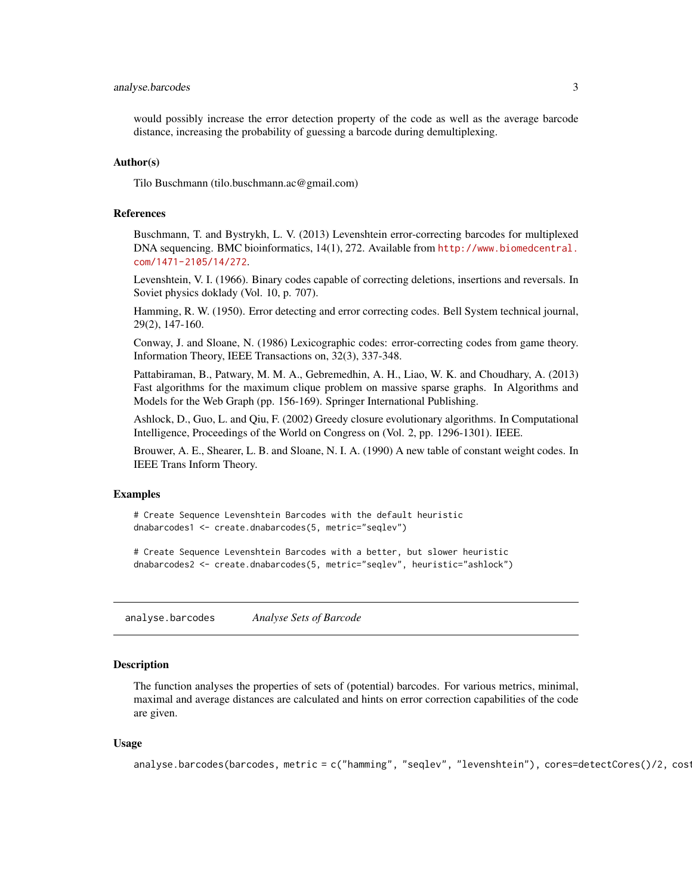#### <span id="page-2-0"></span>analyse.barcodes 3

would possibly increase the error detection property of the code as well as the average barcode distance, increasing the probability of guessing a barcode during demultiplexing.

#### Author(s)

Tilo Buschmann (tilo.buschmann.ac@gmail.com)

#### References

Buschmann, T. and Bystrykh, L. V. (2013) Levenshtein error-correcting barcodes for multiplexed DNA sequencing. BMC bioinformatics, 14(1), 272. Available from [http://www.biomedcentral.](http://www.biomedcentral.com/1471-2105/14/272) [com/1471-2105/14/272](http://www.biomedcentral.com/1471-2105/14/272).

Levenshtein, V. I. (1966). Binary codes capable of correcting deletions, insertions and reversals. In Soviet physics doklady (Vol. 10, p. 707).

Hamming, R. W. (1950). Error detecting and error correcting codes. Bell System technical journal, 29(2), 147-160.

Conway, J. and Sloane, N. (1986) Lexicographic codes: error-correcting codes from game theory. Information Theory, IEEE Transactions on, 32(3), 337-348.

Pattabiraman, B., Patwary, M. M. A., Gebremedhin, A. H., Liao, W. K. and Choudhary, A. (2013) Fast algorithms for the maximum clique problem on massive sparse graphs. In Algorithms and Models for the Web Graph (pp. 156-169). Springer International Publishing.

Ashlock, D., Guo, L. and Qiu, F. (2002) Greedy closure evolutionary algorithms. In Computational Intelligence, Proceedings of the World on Congress on (Vol. 2, pp. 1296-1301). IEEE.

Brouwer, A. E., Shearer, L. B. and Sloane, N. I. A. (1990) A new table of constant weight codes. In IEEE Trans Inform Theory.

#### Examples

# Create Sequence Levenshtein Barcodes with the default heuristic dnabarcodes1 <- create.dnabarcodes(5, metric="seqlev")

# Create Sequence Levenshtein Barcodes with a better, but slower heuristic dnabarcodes2 <- create.dnabarcodes(5, metric="seqlev", heuristic="ashlock")

<span id="page-2-1"></span>analyse.barcodes *Analyse Sets of Barcode*

#### Description

The function analyses the properties of sets of (potential) barcodes. For various metrics, minimal, maximal and average distances are calculated and hints on error correction capabilities of the code are given.

#### Usage

analyse.barcodes(barcodes, metric = c("hamming", "seqlev", "levenshtein"), cores=detectCores()/2, costandl = 1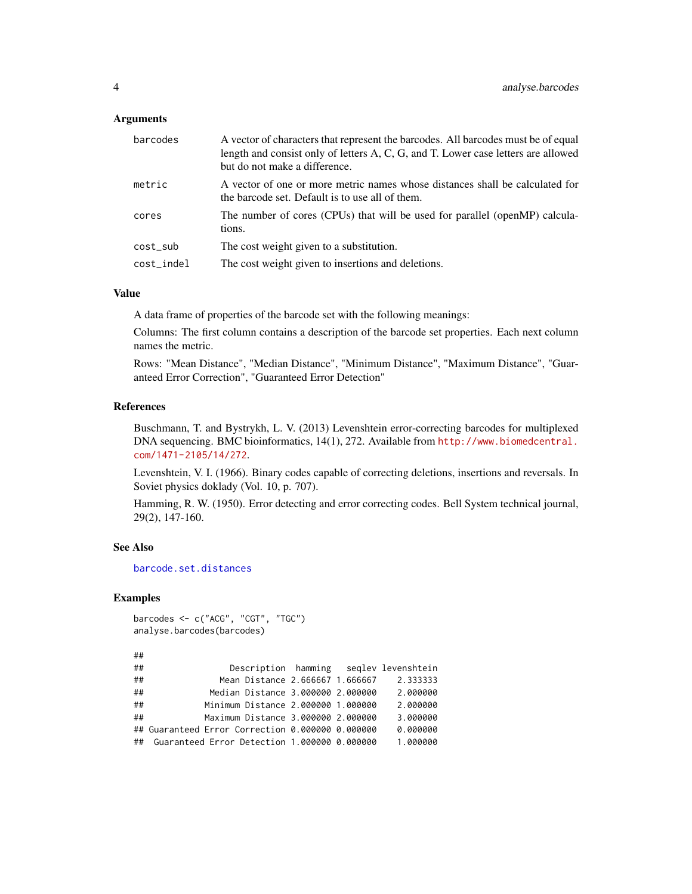#### <span id="page-3-0"></span>Arguments

| barcodes   | A vector of characters that represent the barcodes. All barcodes must be of equal<br>length and consist only of letters A, C, G, and T. Lower case letters are allowed<br>but do not make a difference. |
|------------|---------------------------------------------------------------------------------------------------------------------------------------------------------------------------------------------------------|
| metric     | A vector of one or more metric names whose distances shall be calculated for<br>the barcode set. Default is to use all of them.                                                                         |
| cores      | The number of cores (CPUs) that will be used for parallel (openMP) calcula-<br>tions.                                                                                                                   |
| cost_sub   | The cost weight given to a substitution.                                                                                                                                                                |
| cost_indel | The cost weight given to insertions and deletions.                                                                                                                                                      |

#### Value

A data frame of properties of the barcode set with the following meanings:

Columns: The first column contains a description of the barcode set properties. Each next column names the metric.

Rows: "Mean Distance", "Median Distance", "Minimum Distance", "Maximum Distance", "Guaranteed Error Correction", "Guaranteed Error Detection"

#### References

Buschmann, T. and Bystrykh, L. V. (2013) Levenshtein error-correcting barcodes for multiplexed DNA sequencing. BMC bioinformatics, 14(1), 272. Available from [http://www.biomedcentral.](http://www.biomedcentral.com/1471-2105/14/272) [com/1471-2105/14/272](http://www.biomedcentral.com/1471-2105/14/272).

Levenshtein, V. I. (1966). Binary codes capable of correcting deletions, insertions and reversals. In Soviet physics doklady (Vol. 10, p. 707).

Hamming, R. W. (1950). Error detecting and error correcting codes. Bell System technical journal, 29(2), 147-160.

#### See Also

[barcode.set.distances](#page-4-1)

#### Examples

```
barcodes <- c("ACG", "CGT", "TGC")
analyse.barcodes(barcodes)
```

```
##
```

```
## Description hamming seqlev levenshtein
## Mean Distance 2.666667 1.666667 2.333333
## Median Distance 3.000000 2.000000 2.000000
## Minimum Distance 2.000000 1.000000 2.000000
## Maximum Distance 3.000000 2.000000 3.000000
## Guaranteed Error Correction 0.000000 0.000000 0.000000
## Guaranteed Error Detection 1.000000 0.000000 1.000000
```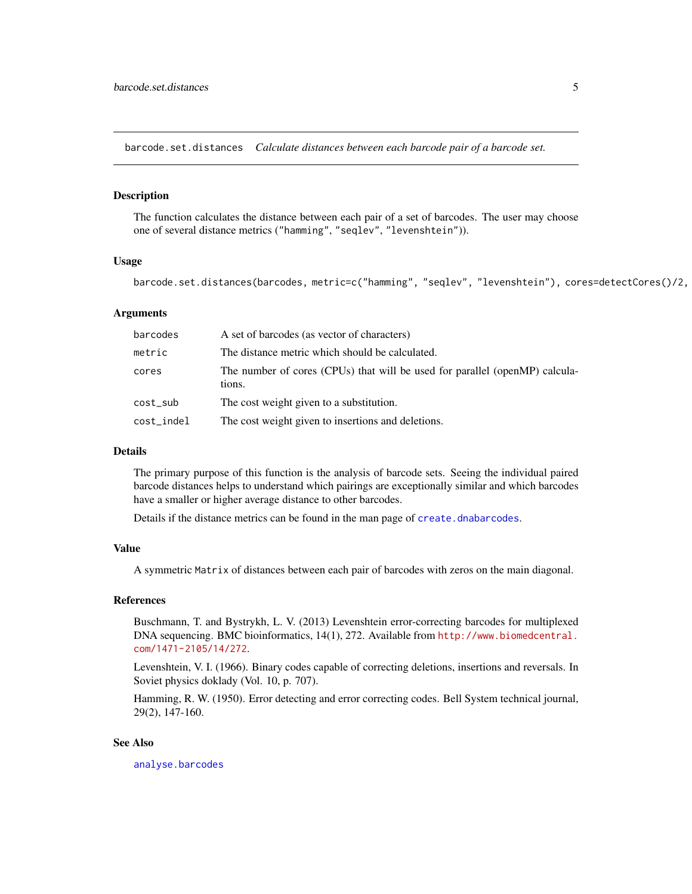<span id="page-4-1"></span><span id="page-4-0"></span>barcode.set.distances *Calculate distances between each barcode pair of a barcode set.*

#### Description

The function calculates the distance between each pair of a set of barcodes. The user may choose one of several distance metrics ("hamming", "seqlev", "levenshtein")).

#### Usage

barcode.set.distances(barcodes, metric=c("hamming", "seqlev", "levenshtein"), cores=detectCores()/2,

#### Arguments

| barcodes   | A set of barcodes (as vector of characters)                                           |
|------------|---------------------------------------------------------------------------------------|
| metric     | The distance metric which should be calculated.                                       |
| cores      | The number of cores (CPUs) that will be used for parallel (openMP) calcula-<br>tions. |
| cost_sub   | The cost weight given to a substitution.                                              |
| cost_indel | The cost weight given to insertions and deletions.                                    |

#### Details

The primary purpose of this function is the analysis of barcode sets. Seeing the individual paired barcode distances helps to understand which pairings are exceptionally similar and which barcodes have a smaller or higher average distance to other barcodes.

Details if the distance metrics can be found in the man page of [create.dnabarcodes](#page-5-1).

#### Value

A symmetric Matrix of distances between each pair of barcodes with zeros on the main diagonal.

#### References

Buschmann, T. and Bystrykh, L. V. (2013) Levenshtein error-correcting barcodes for multiplexed DNA sequencing. BMC bioinformatics, 14(1), 272. Available from [http://www.biomedcentral.](http://www.biomedcentral.com/1471-2105/14/272) [com/1471-2105/14/272](http://www.biomedcentral.com/1471-2105/14/272).

Levenshtein, V. I. (1966). Binary codes capable of correcting deletions, insertions and reversals. In Soviet physics doklady (Vol. 10, p. 707).

Hamming, R. W. (1950). Error detecting and error correcting codes. Bell System technical journal, 29(2), 147-160.

#### See Also

[analyse.barcodes](#page-2-1)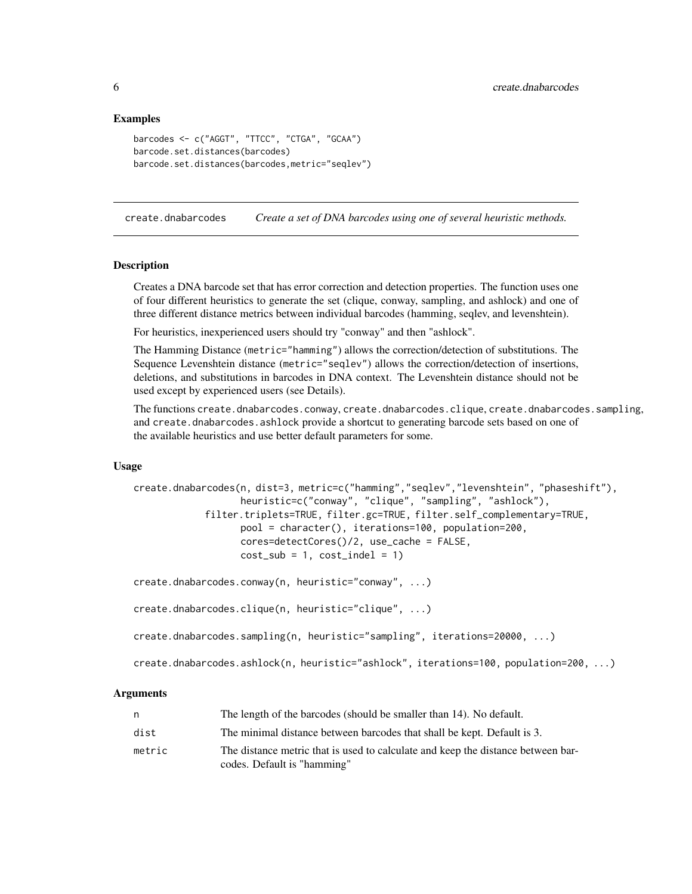#### Examples

```
barcodes <- c("AGGT", "TTCC", "CTGA", "GCAA")
barcode.set.distances(barcodes)
barcode.set.distances(barcodes,metric="seqlev")
```
<span id="page-5-1"></span>create.dnabarcodes *Create a set of DNA barcodes using one of several heuristic methods.*

#### Description

Creates a DNA barcode set that has error correction and detection properties. The function uses one of four different heuristics to generate the set (clique, conway, sampling, and ashlock) and one of three different distance metrics between individual barcodes (hamming, seqlev, and levenshtein).

For heuristics, inexperienced users should try "conway" and then "ashlock".

The Hamming Distance (metric="hamming") allows the correction/detection of substitutions. The Sequence Levenshtein distance (metric="seqlev") allows the correction/detection of insertions, deletions, and substitutions in barcodes in DNA context. The Levenshtein distance should not be used except by experienced users (see Details).

The functions create.dnabarcodes.conway, create.dnabarcodes.clique, create.dnabarcodes.sampling, and create.dnabarcodes.ashlock provide a shortcut to generating barcode sets based on one of the available heuristics and use better default parameters for some.

#### Usage

```
create.dnabarcodes(n, dist=3, metric=c("hamming","seqlev","levenshtein", "phaseshift"),
                   heuristic=c("conway", "clique", "sampling", "ashlock"),
            filter.triplets=TRUE, filter.gc=TRUE, filter.self_complementary=TRUE,
                   pool = character(), iterations=100, population=200,
                   cores=detectCores()/2, use_cache = FALSE,
                   cost\_sub = 1, cost\_indel = 1)
create.dnabarcodes.conway(n, heuristic="conway", ...)
create.dnabarcodes.clique(n, heuristic="clique", ...)
create.dnabarcodes.sampling(n, heuristic="sampling", iterations=20000, ...)
```
create.dnabarcodes.ashlock(n, heuristic="ashlock", iterations=100, population=200, ...)

#### Arguments

| n      | The length of the barcodes (should be smaller than 14). No default.                                             |
|--------|-----------------------------------------------------------------------------------------------------------------|
| dist   | The minimal distance between barcodes that shall be kept. Default is 3.                                         |
| metric | The distance metric that is used to calculate and keep the distance between bar-<br>codes. Default is "hamming" |

<span id="page-5-0"></span>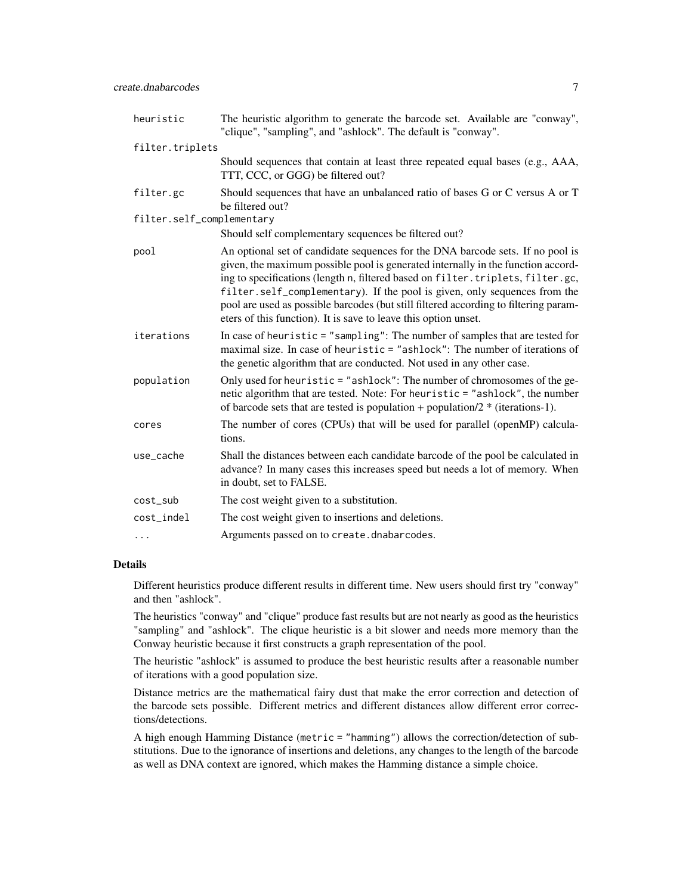| heuristic                 | The heuristic algorithm to generate the barcode set. Available are "conway",<br>"clique", "sampling", and "ashlock". The default is "conway".                                                                                                                                                                                                                                                                                                                                                |
|---------------------------|----------------------------------------------------------------------------------------------------------------------------------------------------------------------------------------------------------------------------------------------------------------------------------------------------------------------------------------------------------------------------------------------------------------------------------------------------------------------------------------------|
| filter.triplets           |                                                                                                                                                                                                                                                                                                                                                                                                                                                                                              |
|                           | Should sequences that contain at least three repeated equal bases (e.g., AAA,<br>TTT, CCC, or GGG) be filtered out?                                                                                                                                                                                                                                                                                                                                                                          |
| filter.gc                 | Should sequences that have an unbalanced ratio of bases G or C versus A or T<br>be filtered out?                                                                                                                                                                                                                                                                                                                                                                                             |
| filter.self_complementary |                                                                                                                                                                                                                                                                                                                                                                                                                                                                                              |
|                           | Should self complementary sequences be filtered out?                                                                                                                                                                                                                                                                                                                                                                                                                                         |
| pool                      | An optional set of candidate sequences for the DNA barcode sets. If no pool is<br>given, the maximum possible pool is generated internally in the function accord-<br>ing to specifications (length n, filtered based on filter.triplets, filter.gc,<br>filter.self_complementary). If the pool is given, only sequences from the<br>pool are used as possible barcodes (but still filtered according to filtering param-<br>eters of this function). It is save to leave this option unset. |
| iterations                | In case of heuristic = "sampling": The number of samples that are tested for<br>maximal size. In case of heuristic = "ashlock": The number of iterations of<br>the genetic algorithm that are conducted. Not used in any other case.                                                                                                                                                                                                                                                         |
| population                | Only used for heuristic = "ashlock": The number of chromosomes of the ge-<br>netic algorithm that are tested. Note: For heuristic = "ashlock", the number<br>of barcode sets that are tested is population + population/ $2$ * (iterations-1).                                                                                                                                                                                                                                               |
| cores                     | The number of cores (CPUs) that will be used for parallel (openMP) calcula-<br>tions.                                                                                                                                                                                                                                                                                                                                                                                                        |
| use_cache                 | Shall the distances between each candidate barcode of the pool be calculated in<br>advance? In many cases this increases speed but needs a lot of memory. When<br>in doubt, set to FALSE.                                                                                                                                                                                                                                                                                                    |
| cost_sub                  | The cost weight given to a substitution.                                                                                                                                                                                                                                                                                                                                                                                                                                                     |
| cost_indel                | The cost weight given to insertions and deletions.                                                                                                                                                                                                                                                                                                                                                                                                                                           |
| $\cdots$                  | Arguments passed on to create.dnabarcodes.                                                                                                                                                                                                                                                                                                                                                                                                                                                   |

#### Details

Different heuristics produce different results in different time. New users should first try "conway" and then "ashlock".

The heuristics "conway" and "clique" produce fast results but are not nearly as good as the heuristics "sampling" and "ashlock". The clique heuristic is a bit slower and needs more memory than the Conway heuristic because it first constructs a graph representation of the pool.

The heuristic "ashlock" is assumed to produce the best heuristic results after a reasonable number of iterations with a good population size.

Distance metrics are the mathematical fairy dust that make the error correction and detection of the barcode sets possible. Different metrics and different distances allow different error corrections/detections.

A high enough Hamming Distance (metric = "hamming") allows the correction/detection of substitutions. Due to the ignorance of insertions and deletions, any changes to the length of the barcode as well as DNA context are ignored, which makes the Hamming distance a simple choice.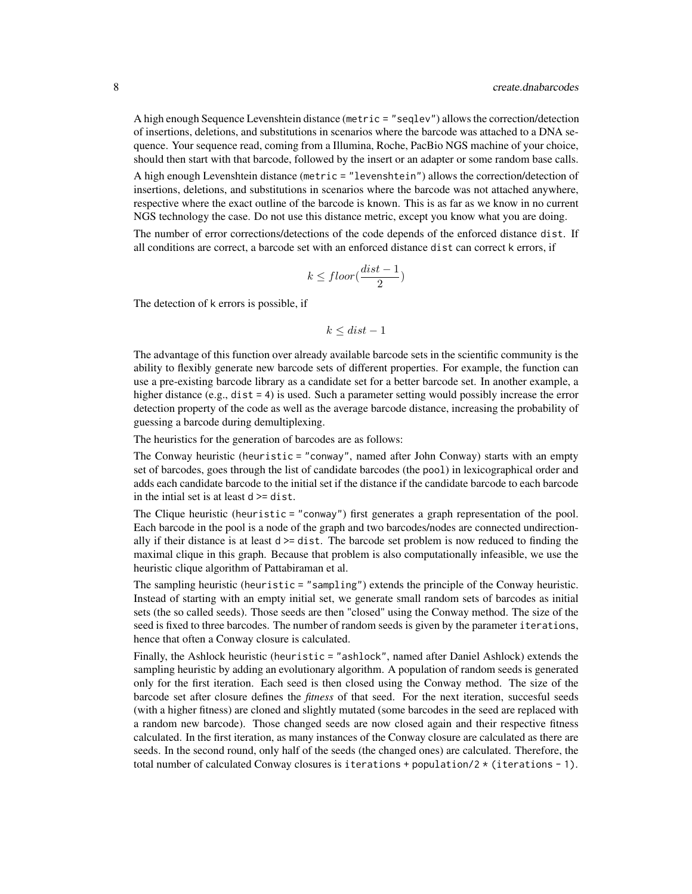A high enough Sequence Levenshtein distance (metric = "seqlev") allows the correction/detection of insertions, deletions, and substitutions in scenarios where the barcode was attached to a DNA sequence. Your sequence read, coming from a Illumina, Roche, PacBio NGS machine of your choice, should then start with that barcode, followed by the insert or an adapter or some random base calls.

A high enough Levenshtein distance (metric = "levenshtein") allows the correction/detection of insertions, deletions, and substitutions in scenarios where the barcode was not attached anywhere, respective where the exact outline of the barcode is known. This is as far as we know in no current NGS technology the case. Do not use this distance metric, except you know what you are doing.

The number of error corrections/detections of the code depends of the enforced distance dist. If all conditions are correct, a barcode set with an enforced distance dist can correct k errors, if

$$
k \leq floor(\frac{dist-1}{2})
$$

The detection of k errors is possible, if

 $k \leq dist - 1$ 

The advantage of this function over already available barcode sets in the scientific community is the ability to flexibly generate new barcode sets of different properties. For example, the function can use a pre-existing barcode library as a candidate set for a better barcode set. In another example, a higher distance (e.g., dist = 4) is used. Such a parameter setting would possibly increase the error detection property of the code as well as the average barcode distance, increasing the probability of guessing a barcode during demultiplexing.

The heuristics for the generation of barcodes are as follows:

The Conway heuristic (heuristic = "conway", named after John Conway) starts with an empty set of barcodes, goes through the list of candidate barcodes (the pool) in lexicographical order and adds each candidate barcode to the initial set if the distance if the candidate barcode to each barcode in the intial set is at least d >= dist.

The Clique heuristic (heuristic = "conway") first generates a graph representation of the pool. Each barcode in the pool is a node of the graph and two barcodes/nodes are connected undirectionally if their distance is at least  $d \geq d$  dist. The barcode set problem is now reduced to finding the maximal clique in this graph. Because that problem is also computationally infeasible, we use the heuristic clique algorithm of Pattabiraman et al.

The sampling heuristic (heuristic = "sampling") extends the principle of the Conway heuristic. Instead of starting with an empty initial set, we generate small random sets of barcodes as initial sets (the so called seeds). Those seeds are then "closed" using the Conway method. The size of the seed is fixed to three barcodes. The number of random seeds is given by the parameter iterations, hence that often a Conway closure is calculated.

Finally, the Ashlock heuristic (heuristic = "ashlock", named after Daniel Ashlock) extends the sampling heuristic by adding an evolutionary algorithm. A population of random seeds is generated only for the first iteration. Each seed is then closed using the Conway method. The size of the barcode set after closure defines the *fitness* of that seed. For the next iteration, succesful seeds (with a higher fitness) are cloned and slightly mutated (some barcodes in the seed are replaced with a random new barcode). Those changed seeds are now closed again and their respective fitness calculated. In the first iteration, as many instances of the Conway closure are calculated as there are seeds. In the second round, only half of the seeds (the changed ones) are calculated. Therefore, the total number of calculated Conway closures is iterations + population/2  $\star$  (iterations - 1).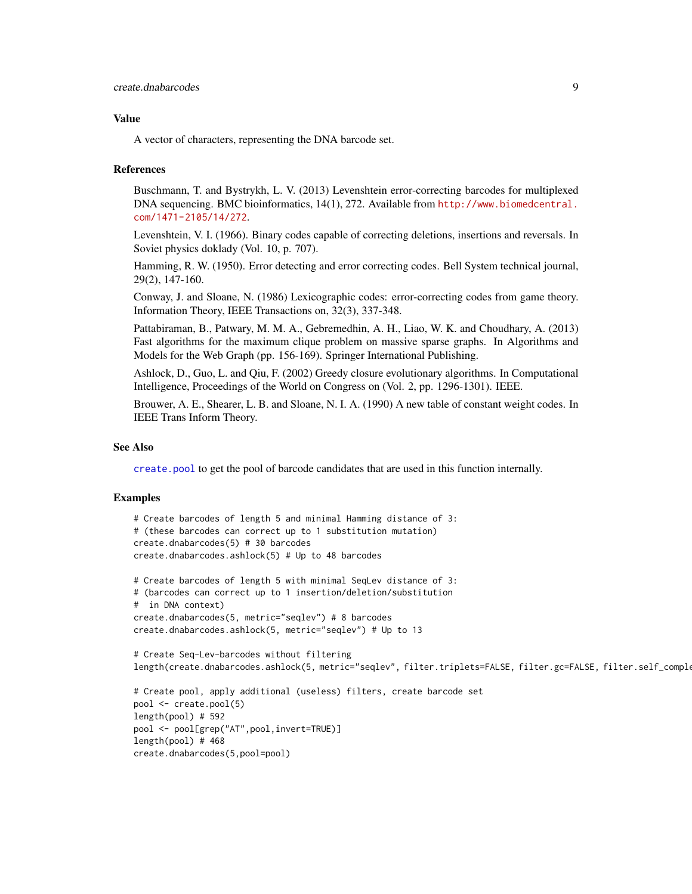#### <span id="page-8-0"></span>Value

A vector of characters, representing the DNA barcode set.

#### References

Buschmann, T. and Bystrykh, L. V. (2013) Levenshtein error-correcting barcodes for multiplexed DNA sequencing. BMC bioinformatics, 14(1), 272. Available from [http://www.biomedcentral.](http://www.biomedcentral.com/1471-2105/14/272) [com/1471-2105/14/272](http://www.biomedcentral.com/1471-2105/14/272).

Levenshtein, V. I. (1966). Binary codes capable of correcting deletions, insertions and reversals. In Soviet physics doklady (Vol. 10, p. 707).

Hamming, R. W. (1950). Error detecting and error correcting codes. Bell System technical journal, 29(2), 147-160.

Conway, J. and Sloane, N. (1986) Lexicographic codes: error-correcting codes from game theory. Information Theory, IEEE Transactions on, 32(3), 337-348.

Pattabiraman, B., Patwary, M. M. A., Gebremedhin, A. H., Liao, W. K. and Choudhary, A. (2013) Fast algorithms for the maximum clique problem on massive sparse graphs. In Algorithms and Models for the Web Graph (pp. 156-169). Springer International Publishing.

Ashlock, D., Guo, L. and Qiu, F. (2002) Greedy closure evolutionary algorithms. In Computational Intelligence, Proceedings of the World on Congress on (Vol. 2, pp. 1296-1301). IEEE.

Brouwer, A. E., Shearer, L. B. and Sloane, N. I. A. (1990) A new table of constant weight codes. In IEEE Trans Inform Theory.

#### See Also

[create.pool](#page-9-1) to get the pool of barcode candidates that are used in this function internally.

#### Examples

```
# Create barcodes of length 5 and minimal Hamming distance of 3:
# (these barcodes can correct up to 1 substitution mutation)
create.dnabarcodes(5) # 30 barcodes
create.dnabarcodes.ashlock(5) # Up to 48 barcodes
# Create barcodes of length 5 with minimal SeqLev distance of 3:
# (barcodes can correct up to 1 insertion/deletion/substitution
# in DNA context)
create.dnabarcodes(5, metric="seqlev") # 8 barcodes
create.dnabarcodes.ashlock(5, metric="seqlev") # Up to 13
# Create Seq-Lev-barcodes without filtering
length(create.dnabarcodes.ashlock(5, metric="seqlev", filter.triplets=FALSE, filter.gc=FALSE, filter.self_comple
# Create pool, apply additional (useless) filters, create barcode set
pool <- create.pool(5)
length(pool) # 592
pool <- pool[grep("AT",pool,invert=TRUE)]
length(pool) # 468
create.dnabarcodes(5,pool=pool)
```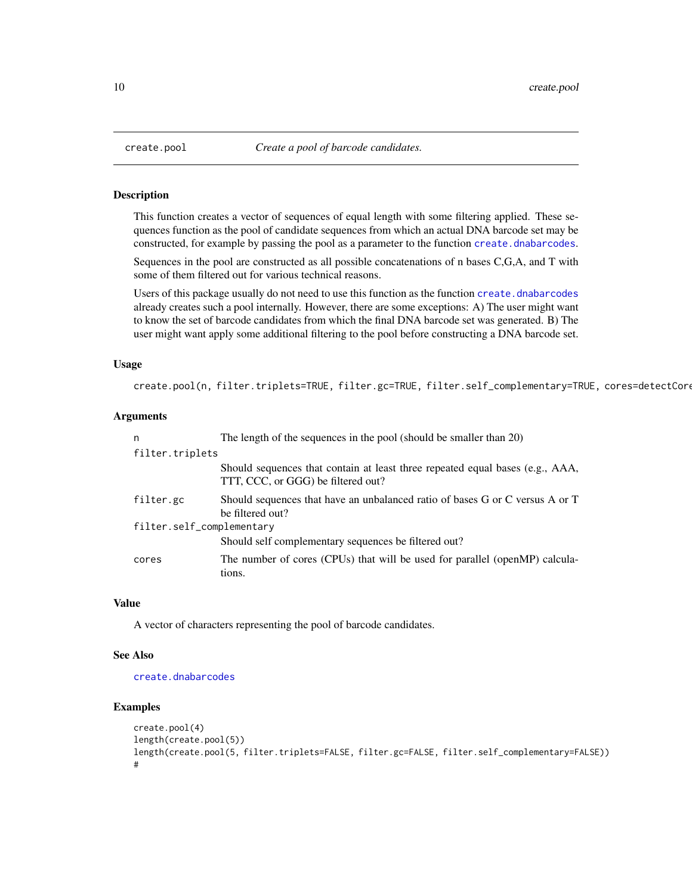#### **Description**

This function creates a vector of sequences of equal length with some filtering applied. These sequences function as the pool of candidate sequences from which an actual DNA barcode set may be constructed, for example by passing the pool as a parameter to the function [create.dnabarcodes](#page-5-1).

Sequences in the pool are constructed as all possible concatenations of n bases C,G,A, and T with some of them filtered out for various technical reasons.

Users of this package usually do not need to use this function as the function [create.dnabarcodes](#page-5-1) already creates such a pool internally. However, there are some exceptions: A) The user might want to know the set of barcode candidates from which the final DNA barcode set was generated. B) The user might want apply some additional filtering to the pool before constructing a DNA barcode set.

#### Usage

```
create.pool(n, filter.triplets=TRUE, filter.gc=TRUE, filter.self_complementary=TRUE, cores=detectCore
```
#### Arguments

| n                         | The length of the sequences in the pool (should be smaller than 20)                                                 |  |
|---------------------------|---------------------------------------------------------------------------------------------------------------------|--|
| filter.triplets           |                                                                                                                     |  |
|                           | Should sequences that contain at least three repeated equal bases (e.g., AAA,<br>TTT, CCC, or GGG) be filtered out? |  |
| filter.gc                 | Should sequences that have an unbalanced ratio of bases G or C versus A or T<br>be filtered out?                    |  |
| filter.self_complementary |                                                                                                                     |  |
|                           | Should self complementary sequences be filtered out?                                                                |  |
| cores                     | The number of cores (CPUs) that will be used for parallel (openMP) calcula-<br>tions.                               |  |

#### Value

A vector of characters representing the pool of barcode candidates.

#### See Also

[create.dnabarcodes](#page-5-1)

#### Examples

```
create.pool(4)
length(create.pool(5))
length(create.pool(5, filter.triplets=FALSE, filter.gc=FALSE, filter.self_complementary=FALSE))
#
```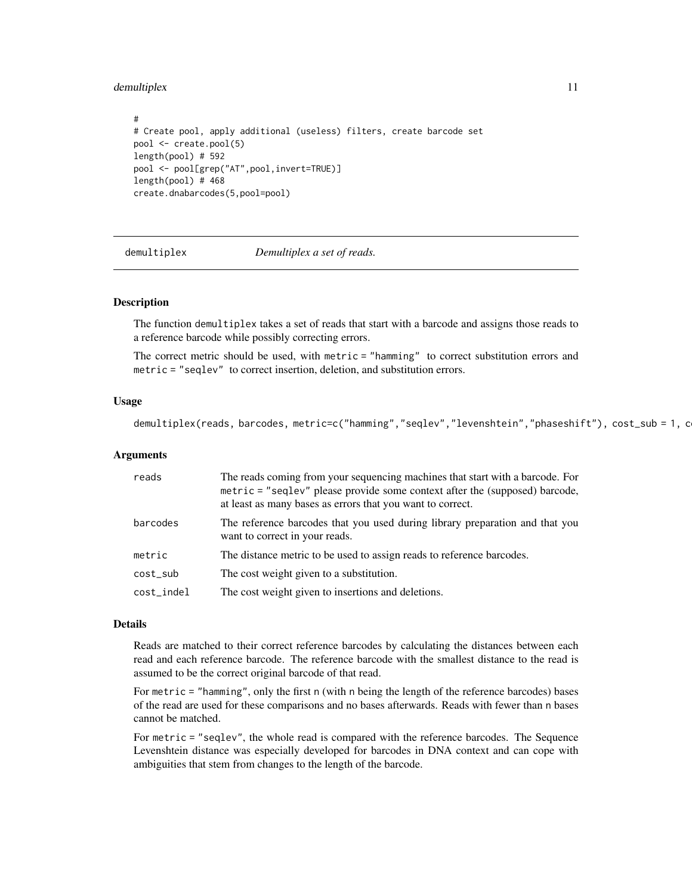#### <span id="page-10-0"></span>demultiplex 11

```
#
# Create pool, apply additional (useless) filters, create barcode set
pool <- create.pool(5)
length(pool) # 592
pool <- pool[grep("AT",pool,invert=TRUE)]
length(pool) # 468
create.dnabarcodes(5,pool=pool)
```
demultiplex *Demultiplex a set of reads.*

#### Description

The function demultiplex takes a set of reads that start with a barcode and assigns those reads to a reference barcode while possibly correcting errors.

The correct metric should be used, with metric = "hamming" to correct substitution errors and metric = "seqlev" to correct insertion, deletion, and substitution errors.

#### Usage

```
demultiplex(reads, barcodes, metric=c("hamming","seqlev","levenshtein","phaseshift"), cost_sub = 1, c
```
#### Arguments

| reads      | The reads coming from your sequencing machines that start with a barcode. For<br>metric = "seqlev" please provide some context after the (supposed) barcode,<br>at least as many bases as errors that you want to correct. |
|------------|----------------------------------------------------------------------------------------------------------------------------------------------------------------------------------------------------------------------------|
| barcodes   | The reference barcodes that you used during library preparation and that you<br>want to correct in your reads.                                                                                                             |
| metric     | The distance metric to be used to assign reads to reference barcodes.                                                                                                                                                      |
| cost_sub   | The cost weight given to a substitution.                                                                                                                                                                                   |
| cost_indel | The cost weight given to insertions and deletions.                                                                                                                                                                         |

#### Details

Reads are matched to their correct reference barcodes by calculating the distances between each read and each reference barcode. The reference barcode with the smallest distance to the read is assumed to be the correct original barcode of that read.

For metric = "hamming", only the first n (with n being the length of the reference barcodes) bases of the read are used for these comparisons and no bases afterwards. Reads with fewer than n bases cannot be matched.

For metric = "seqlev", the whole read is compared with the reference barcodes. The Sequence Levenshtein distance was especially developed for barcodes in DNA context and can cope with ambiguities that stem from changes to the length of the barcode.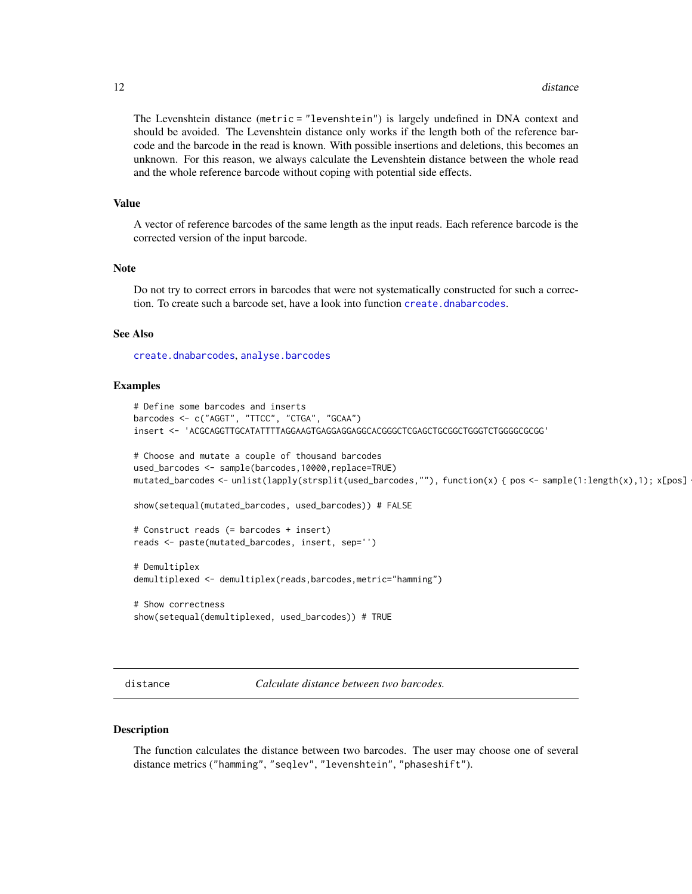<span id="page-11-0"></span>The Levenshtein distance (metric = "levenshtein") is largely undefined in DNA context and should be avoided. The Levenshtein distance only works if the length both of the reference barcode and the barcode in the read is known. With possible insertions and deletions, this becomes an unknown. For this reason, we always calculate the Levenshtein distance between the whole read and the whole reference barcode without coping with potential side effects.

#### Value

A vector of reference barcodes of the same length as the input reads. Each reference barcode is the corrected version of the input barcode.

#### **Note**

Do not try to correct errors in barcodes that were not systematically constructed for such a correction. To create such a barcode set, have a look into function [create.dnabarcodes](#page-5-1).

#### See Also

[create.dnabarcodes](#page-5-1), [analyse.barcodes](#page-2-1)

#### Examples

```
# Define some barcodes and inserts
barcodes <- c("AGGT", "TTCC", "CTGA", "GCAA")
insert <- 'ACGCAGGTTGCATATTTTAGGAAGTGAGGAGGAGGCACGGGCTCGAGCTGCGGCTGGGTCTGGGGCGCGG'
# Choose and mutate a couple of thousand barcodes
used_barcodes <- sample(barcodes,10000,replace=TRUE)
mutated_barcodes <- unlist(lapply(strsplit(used_barcodes,""), function(x) { pos <- sample(1:length(x),1); x[pos]
show(setequal(mutated_barcodes, used_barcodes)) # FALSE
# Construct reads (= barcodes + insert)
reads <- paste(mutated_barcodes, insert, sep='')
# Demultiplex
demultiplexed <- demultiplex(reads,barcodes,metric="hamming")
# Show correctness
show(setequal(demultiplexed, used_barcodes)) # TRUE
```
distance *Calculate distance between two barcodes.*

#### Description

The function calculates the distance between two barcodes. The user may choose one of several distance metrics ("hamming", "seqlev", "levenshtein", "phaseshift").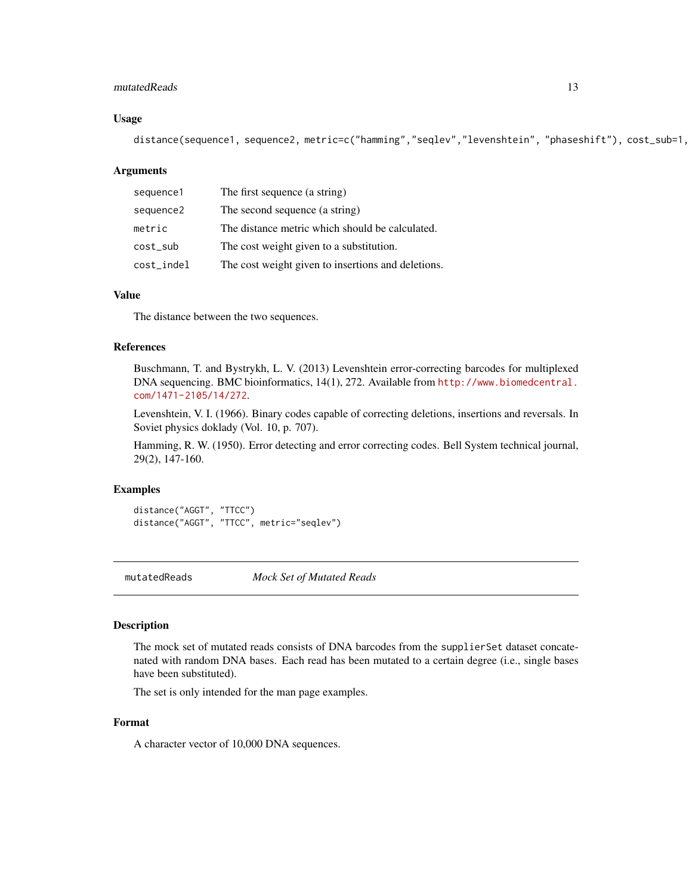#### <span id="page-12-0"></span>mutatedReads 13

#### Usage

distance(sequence1, sequence2, metric=c("hamming","seqlev","levenshtein", "phaseshift"), cost\_sub=1,

#### Arguments

| sequence1  | The first sequence (a string)                      |
|------------|----------------------------------------------------|
| sequence2  | The second sequence (a string)                     |
| metric     | The distance metric which should be calculated.    |
| cost_sub   | The cost weight given to a substitution.           |
| cost_indel | The cost weight given to insertions and deletions. |

#### Value

The distance between the two sequences.

#### References

Buschmann, T. and Bystrykh, L. V. (2013) Levenshtein error-correcting barcodes for multiplexed DNA sequencing. BMC bioinformatics, 14(1), 272. Available from [http://www.biomedcentral.](http://www.biomedcentral.com/1471-2105/14/272) [com/1471-2105/14/272](http://www.biomedcentral.com/1471-2105/14/272).

Levenshtein, V. I. (1966). Binary codes capable of correcting deletions, insertions and reversals. In Soviet physics doklady (Vol. 10, p. 707).

Hamming, R. W. (1950). Error detecting and error correcting codes. Bell System technical journal, 29(2), 147-160.

#### Examples

distance("AGGT", "TTCC") distance("AGGT", "TTCC", metric="seqlev")

mutatedReads *Mock Set of Mutated Reads*

#### Description

The mock set of mutated reads consists of DNA barcodes from the supplierSet dataset concatenated with random DNA bases. Each read has been mutated to a certain degree (i.e., single bases have been substituted).

The set is only intended for the man page examples.

#### Format

A character vector of 10,000 DNA sequences.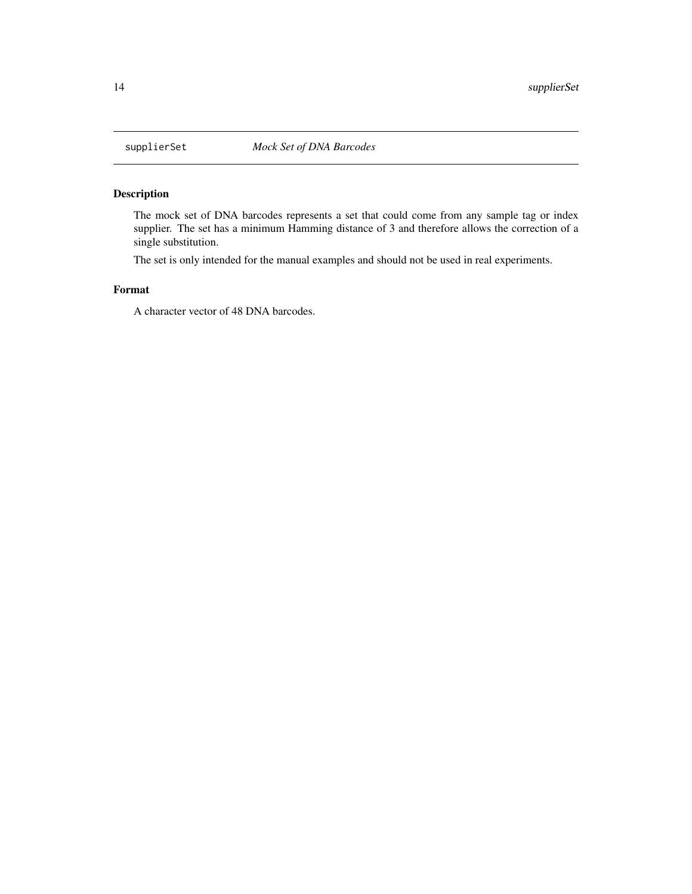<span id="page-13-0"></span>

#### Description

The mock set of DNA barcodes represents a set that could come from any sample tag or index supplier. The set has a minimum Hamming distance of 3 and therefore allows the correction of a single substitution.

The set is only intended for the manual examples and should not be used in real experiments.

#### Format

A character vector of 48 DNA barcodes.